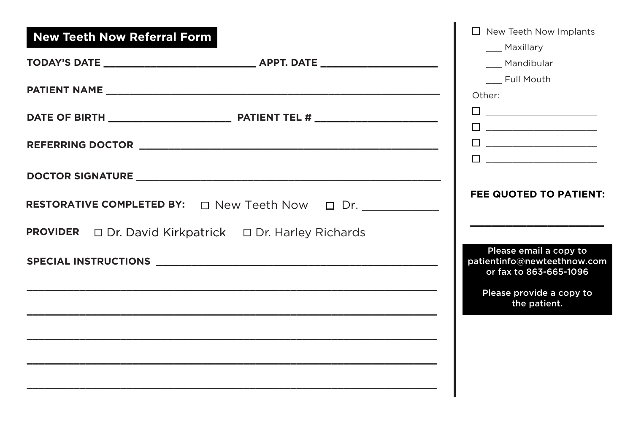| <b>New Teeth Now Referral Form</b>                                      | $\Box$ New Teeth Now Implants<br>__ Maxillary<br>__ Mandibular                                                                                                                    |
|-------------------------------------------------------------------------|-----------------------------------------------------------------------------------------------------------------------------------------------------------------------------------|
|                                                                         | Full Mouth<br>Other:                                                                                                                                                              |
|                                                                         | $\begin{tabular}{ c c c c } \hline \quad \quad & \quad \quad & \quad \quad & \quad \quad \\ \hline \quad \quad & \quad \quad & \quad \quad & \quad \quad \\ \hline \end{tabular}$ |
|                                                                         |                                                                                                                                                                                   |
|                                                                         |                                                                                                                                                                                   |
| <b>RESTORATIVE COMPLETED BY:</b> $\Box$ New Teeth Now $\Box$ Dr.        | <b>FEE QUOTED TO PATIENT:</b>                                                                                                                                                     |
| <b>PROVIDER</b> $\Box$ Dr. David Kirkpatrick $\Box$ Dr. Harley Richards |                                                                                                                                                                                   |
|                                                                         | Please email a copy to<br>patientinfo@newteethnow.com<br>or fax to 863-665-1096                                                                                                   |
|                                                                         | Please provide a copy to<br>the patient.                                                                                                                                          |
|                                                                         |                                                                                                                                                                                   |
|                                                                         |                                                                                                                                                                                   |
|                                                                         |                                                                                                                                                                                   |
|                                                                         |                                                                                                                                                                                   |